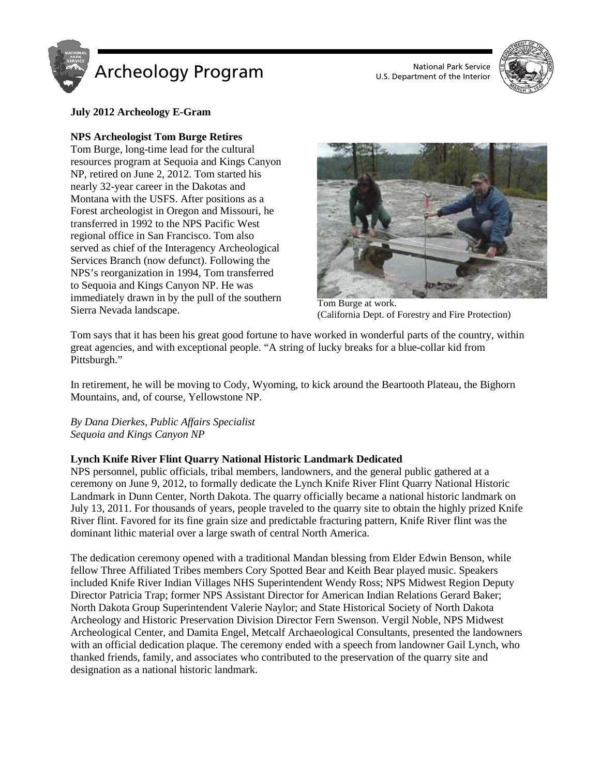

U.S. Department of the Interior



# **July 2012 Archeology E-Gram**

## **NPS Archeologist Tom Burge Retires**

Tom Burge, long-time lead for the cultural resources program at Sequoia and Kings Canyon NP, retired on June 2, 2012. Tom started his nearly 32-year career in the Dakotas and Montana with the USFS. After positions as a Forest archeologist in Oregon and Missouri, he transferred in 1992 to the NPS Pacific West regional office in San Francisco. Tom also served as chief of the Interagency Archeological Services Branch (now defunct). Following the NPS's reorganization in 1994, Tom transferred to Sequoia and Kings Canyon NP. He was immediately drawn in by the pull of the southern Tom Burge at work.<br>Sierra Nevada landscape. Tom Burge at work.<br>Colifornia Dont of



(California Dept. of Forestry and Fire Protection)

Tom says that it has been his great good fortune to have worked in wonderful parts of the country, within great agencies, and with exceptional people. "A string of lucky breaks for a blue-collar kid from Pittsburgh."

In retirement, he will be moving to Cody, Wyoming, to kick around the Beartooth Plateau, the Bighorn Mountains, and, of course, Yellowstone NP.

*By Dana Dierkes, Public Affairs Specialist Sequoia and Kings Canyon NP*

## **Lynch Knife River Flint Quarry National Historic Landmark Dedicated**

NPS personnel, public officials, tribal members, landowners, and the general public gathered at a ceremony on June 9, 2012, to formally dedicate the Lynch Knife River Flint Quarry National Historic Landmark in Dunn Center, North Dakota. The quarry officially became a national historic landmark on July 13, 2011. For thousands of years, people traveled to the quarry site to obtain the highly prized Knife River flint. Favored for its fine grain size and predictable fracturing pattern, Knife River flint was the dominant lithic material over a large swath of central North America.

The dedication ceremony opened with a traditional Mandan blessing from Elder Edwin Benson, while fellow Three Affiliated Tribes members Cory Spotted Bear and Keith Bear played music. Speakers included Knife River Indian Villages NHS Superintendent Wendy Ross; NPS Midwest Region Deputy Director Patricia Trap; former NPS Assistant Director for American Indian Relations Gerard Baker; North Dakota Group Superintendent Valerie Naylor; and State Historical Society of North Dakota Archeology and Historic Preservation Division Director Fern Swenson. Vergil Noble, NPS Midwest Archeological Center, and Damita Engel, Metcalf Archaeological Consultants, presented the landowners with an official dedication plaque. The ceremony ended with a speech from landowner Gail Lynch, who thanked friends, family, and associates who contributed to the preservation of the quarry site and designation as a national historic landmark.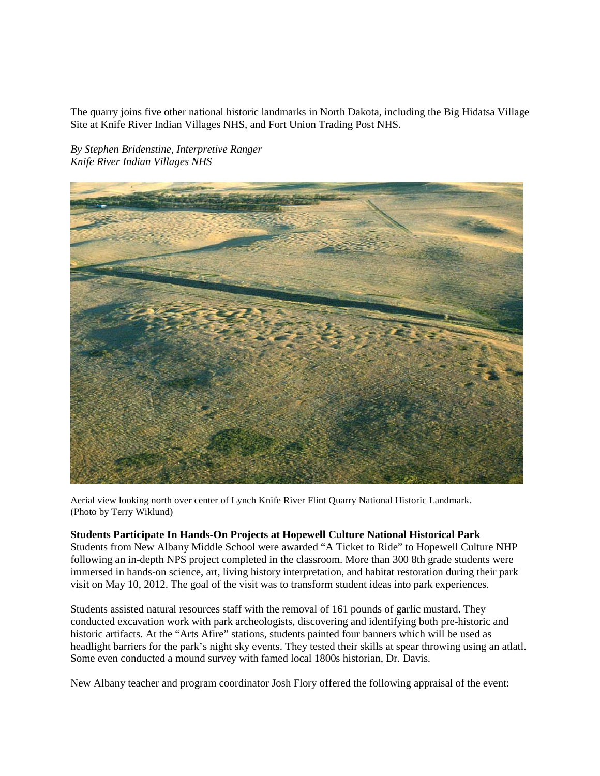The quarry joins five other national historic landmarks in North Dakota, including the Big Hidatsa Village Site at Knife River Indian Villages NHS, and Fort Union Trading Post NHS.

*By Stephen Bridenstine, Interpretive Ranger Knife River Indian Villages NHS*



Aerial view looking north over center of Lynch Knife River Flint Quarry National Historic Landmark. (Photo by Terry Wiklund)

#### **Students Participate In Hands-On Projects at Hopewell Culture National Historical Park**

Students from New Albany Middle School were awarded "A Ticket to Ride" to Hopewell Culture NHP following an in-depth NPS project completed in the classroom. More than 300 8th grade students were immersed in hands-on science, art, living history interpretation, and habitat restoration during their park visit on May 10, 2012. The goal of the visit was to transform student ideas into park experiences.

Students assisted natural resources staff with the removal of 161 pounds of garlic mustard. They conducted excavation work with park archeologists, discovering and identifying both pre-historic and historic artifacts. At the "Arts Afire" stations, students painted four banners which will be used as headlight barriers for the park's night sky events. They tested their skills at spear throwing using an atlatl. Some even conducted a mound survey with famed local 1800s historian, Dr. Davis.

New Albany teacher and program coordinator Josh Flory offered the following appraisal of the event: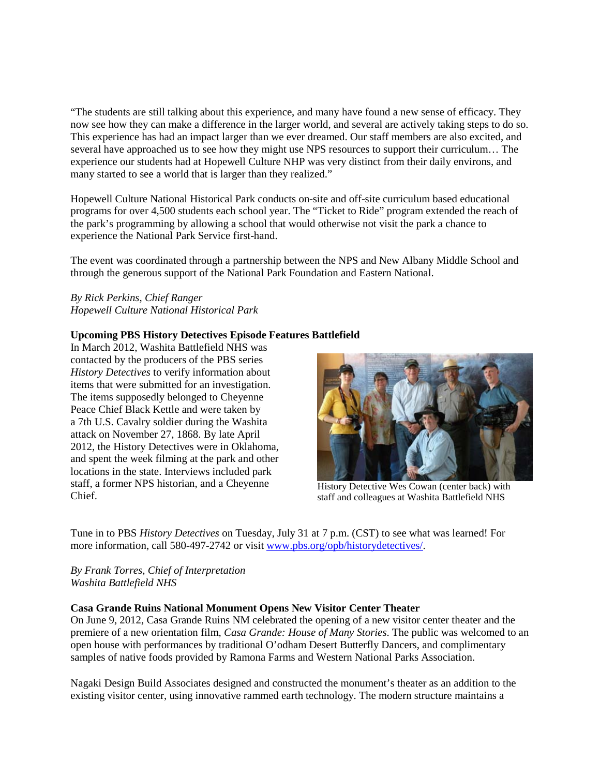"The students are still talking about this experience, and many have found a new sense of efficacy. They now see how they can make a difference in the larger world, and several are actively taking steps to do so. This experience has had an impact larger than we ever dreamed. Our staff members are also excited, and several have approached us to see how they might use NPS resources to support their curriculum… The experience our students had at Hopewell Culture NHP was very distinct from their daily environs, and many started to see a world that is larger than they realized."

Hopewell Culture National Historical Park conducts on-site and off-site curriculum based educational programs for over 4,500 students each school year. The "Ticket to Ride" program extended the reach of the park's programming by allowing a school that would otherwise not visit the park a chance to experience the National Park Service first-hand.

The event was coordinated through a partnership between the NPS and New Albany Middle School and through the generous support of the National Park Foundation and Eastern National.

## *By Rick Perkins, Chief Ranger Hopewell Culture National Historical Park*

## **Upcoming PBS History Detectives Episode Features Battlefield**

In March 2012, Washita Battlefield NHS was contacted by the producers of the PBS series *History Detectives* to verify information about items that were submitted for an investigation. The items supposedly belonged to Cheyenne Peace Chief Black Kettle and were taken by a 7th U.S. Cavalry soldier during the Washita attack on November 27, 1868. By late April 2012, the History Detectives were in Oklahoma, and spent the week filming at the park and other locations in the state. Interviews included park staff, a former NPS historian, and a Cheyenne Chief.



History Detective Wes Cowan (center back) with staff and colleagues at Washita Battlefield NHS

Tune in to PBS *History Detectives* on Tuesday, July 31 at 7 p.m. (CST) to see what was learned! For more information, call 580-497-2742 or visit [www.pbs.org/opb/historydetectives/.](http://www.pbs.org/opb/historydetectives/)

*By Frank Torres, Chief of Interpretation Washita Battlefield NHS*

#### **Casa Grande Ruins National Monument Opens New Visitor Center Theater**

On June 9, 2012, Casa Grande Ruins NM celebrated the opening of a new visitor center theater and the premiere of a new orientation film, *Casa Grande: House of Many Stories*. The public was welcomed to an open house with performances by traditional O'odham Desert Butterfly Dancers, and complimentary samples of native foods provided by Ramona Farms and Western National Parks Association.

Nagaki Design Build Associates designed and constructed the monument's theater as an addition to the existing visitor center, using innovative rammed earth technology. The modern structure maintains a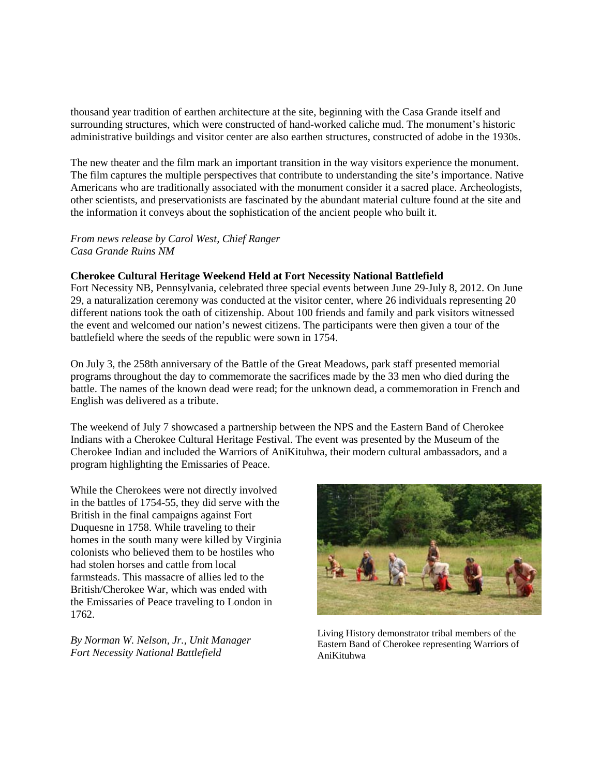thousand year tradition of earthen architecture at the site, beginning with the Casa Grande itself and surrounding structures, which were constructed of hand-worked caliche mud. The monument's historic administrative buildings and visitor center are also earthen structures, constructed of adobe in the 1930s.

The new theater and the film mark an important transition in the way visitors experience the monument. The film captures the multiple perspectives that contribute to understanding the site's importance. Native Americans who are traditionally associated with the monument consider it a sacred place. Archeologists, other scientists, and preservationists are fascinated by the abundant material culture found at the site and the information it conveys about the sophistication of the ancient people who built it.

### *From news release by Carol West, Chief Ranger Casa Grande Ruins NM*

#### **Cherokee Cultural Heritage Weekend Held at Fort Necessity National Battlefield**

Fort Necessity NB, Pennsylvania, celebrated three special events between June 29-July 8, 2012. On June 29, a naturalization ceremony was conducted at the visitor center, where 26 individuals representing 20 different nations took the oath of citizenship. About 100 friends and family and park visitors witnessed the event and welcomed our nation's newest citizens. The participants were then given a tour of the battlefield where the seeds of the republic were sown in 1754.

On July 3, the 258th anniversary of the Battle of the Great Meadows, park staff presented memorial programs throughout the day to commemorate the sacrifices made by the 33 men who died during the battle. The names of the known dead were read; for the unknown dead, a commemoration in French and English was delivered as a tribute.

The weekend of July 7 showcased a partnership between the NPS and the Eastern Band of Cherokee Indians with a Cherokee Cultural Heritage Festival. The event was presented by the Museum of the Cherokee Indian and included the Warriors of AniKituhwa, their modern cultural ambassadors, and a program highlighting the Emissaries of Peace.

While the Cherokees were not directly involved in the battles of 1754-55, they did serve with the British in the final campaigns against Fort Duquesne in 1758. While traveling to their homes in the south many were killed by Virginia colonists who believed them to be hostiles who had stolen horses and cattle from local farmsteads. This massacre of allies led to the British/Cherokee War, which was ended with the Emissaries of Peace traveling to London in 1762.

*By Norman W. Nelson, Jr., Unit Manager Fort Necessity National Battlefield*



Living History demonstrator tribal members of the Eastern Band of Cherokee representing Warriors of AniKituhwa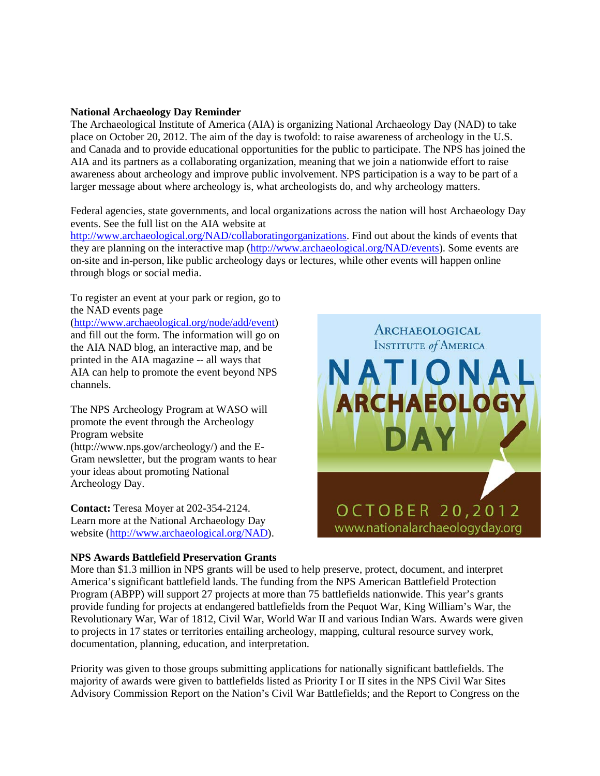### **National Archaeology Day Reminder**

The Archaeological Institute of America (AIA) is organizing National Archaeology Day (NAD) to take place on October 20, 2012. The aim of the day is twofold: to raise awareness of archeology in the U.S. and Canada and to provide educational opportunities for the public to participate. The NPS has joined the AIA and its partners as a collaborating organization, meaning that we join a nationwide effort to raise awareness about archeology and improve public involvement. NPS participation is a way to be part of a larger message about where archeology is, what archeologists do, and why archeology matters.

Federal agencies, state governments, and local organizations across the nation will host Archaeology Day events. See the full list on the AIA website at

[http://www.archaeological.org/NAD/collaboratingorganizations.](http://www.archaeological.org/NAD/collaboratingorganizations) Find out about the kinds of events that they are planning on the interactive map [\(http://www.archaeological.org/NAD/events\)](http://www.archaeological.org/NAD/events). Some events are on-site and in-person, like public archeology days or lectures, while other events will happen online through blogs or social media.

To register an event at your park or region, go to the NAD events page

[\(http://www.archaeological.org/node/add/event\)](http://www.archaeological.org/node/add/event) and fill out the form. The information will go on the AIA NAD blog, an interactive map, and be printed in the AIA magazine -- all ways that AIA can help to promote the event beyond NPS channels.

The NPS Archeology Program at WASO will promote the event through the Archeology Program website

(http://www.nps.gov/archeology/) and the E-Gram newsletter, but the program wants to hear your ideas about promoting National Archeology Day.

**Contact:** Teresa Moyer at 202-354-2124. Learn more at the National Archaeology Day website [\(http://www.archaeological.org/NAD\)](http://www.archaeological.org/NAD).

### **NPS Awards Battlefield Preservation Grants**



More than \$1.3 million in NPS grants will be used to help preserve, protect, document, and interpret America's significant battlefield lands. The funding from the NPS American Battlefield Protection Program (ABPP) will support 27 projects at more than 75 battlefields nationwide. This year's grants provide funding for projects at endangered battlefields from the Pequot War, King William's War, the Revolutionary War, War of 1812, Civil War, World War II and various Indian Wars. Awards were given to projects in 17 states or territories entailing archeology, mapping, cultural resource survey work, documentation, planning, education, and interpretation.

Priority was given to those groups submitting applications for nationally significant battlefields. The majority of awards were given to battlefields listed as Priority I or II sites in the NPS Civil War Sites Advisory Commission Report on the Nation's Civil War Battlefields; and the Report to Congress on the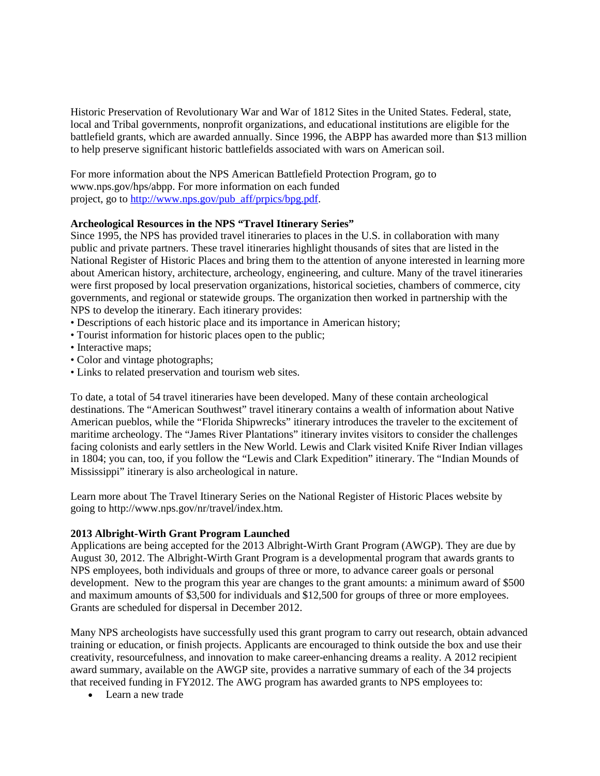Historic Preservation of Revolutionary War and War of 1812 Sites in the United States. Federal, state, local and Tribal governments, nonprofit organizations, and educational institutions are eligible for the battlefield grants, which are awarded annually. Since 1996, the ABPP has awarded more than \$13 million to help preserve significant historic battlefields associated with wars on American soil.

For more information about the NPS American Battlefield Protection Program, go to www.nps.gov/hps/abpp. For more information on each funded project, go to [http://www.nps.gov/pub\\_aff/prpics/bpg.pdf.](http://www.nps.gov/pub_aff/prpics/bpg.pdf)

## **Archeological Resources in the NPS "Travel Itinerary Series"**

Since 1995, the NPS has provided travel itineraries to places in the U.S. in collaboration with many public and private partners. These travel itineraries highlight thousands of sites that are listed in the National Register of Historic Places and bring them to the attention of anyone interested in learning more about American history, architecture, archeology, engineering, and culture. Many of the travel itineraries were first proposed by local preservation organizations, historical societies, chambers of commerce, city governments, and regional or statewide groups. The organization then worked in partnership with the NPS to develop the itinerary. Each itinerary provides:

- Descriptions of each historic place and its importance in American history;
- Tourist information for historic places open to the public;
- Interactive maps;
- Color and vintage photographs;
- Links to related preservation and tourism web sites.

To date, a total of 54 travel itineraries have been developed. Many of these contain archeological destinations. The "American Southwest" travel itinerary contains a wealth of information about Native American pueblos, while the "Florida Shipwrecks" itinerary introduces the traveler to the excitement of maritime archeology. The "James River Plantations" itinerary invites visitors to consider the challenges facing colonists and early settlers in the New World. Lewis and Clark visited Knife River Indian villages in 1804; you can, too, if you follow the "Lewis and Clark Expedition" itinerary. The "Indian Mounds of Mississippi" itinerary is also archeological in nature.

Learn more about The Travel Itinerary Series on the National Register of Historic Places website by going to http://www.nps.gov/nr/travel/index.htm.

#### **2013 Albright-Wirth Grant Program Launched**

Applications are being accepted for the 2013 Albright-Wirth Grant Program (AWGP). They are due by August 30, 2012. The Albright-Wirth Grant Program is a developmental program that awards grants to NPS employees, both individuals and groups of three or more, to advance career goals or personal development. New to the program this year are changes to the grant amounts: a minimum award of \$500 and maximum amounts of \$3,500 for individuals and \$12,500 for groups of three or more employees. Grants are scheduled for dispersal in December 2012.

Many NPS archeologists have successfully used this grant program to carry out research, obtain advanced training or education, or finish projects. Applicants are encouraged to think outside the box and use their creativity, resourcefulness, and innovation to make career-enhancing dreams a reality. A 2012 recipient award summary, available on the AWGP site, provides a narrative summary of each of the 34 projects that received funding in FY2012. The AWG program has awarded grants to NPS employees to:

• Learn a new trade